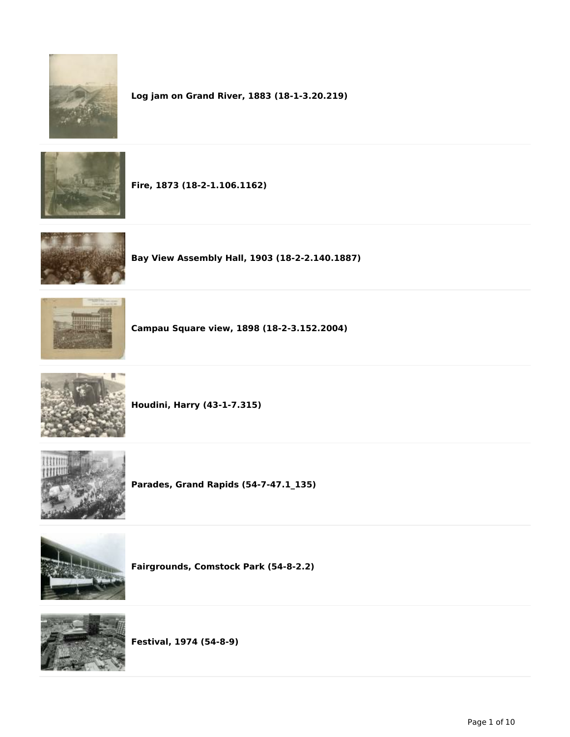

**Log jam on Grand River, 1883 (18-1-3.20.219)**



**Fire, 1873 (18-2-1.106.1162)**



**Bay View Assembly Hall, 1903 (18-2-2.140.1887)**



**Campau Square view, 1898 (18-2-3.152.2004)**



**Houdini, Harry (43-1-7.315)**



**Parades, Grand Rapids (54-7-47.1\_135)**



**Fairgrounds, Comstock Park (54-8-2.2)**



**Festival, 1974 (54-8-9)**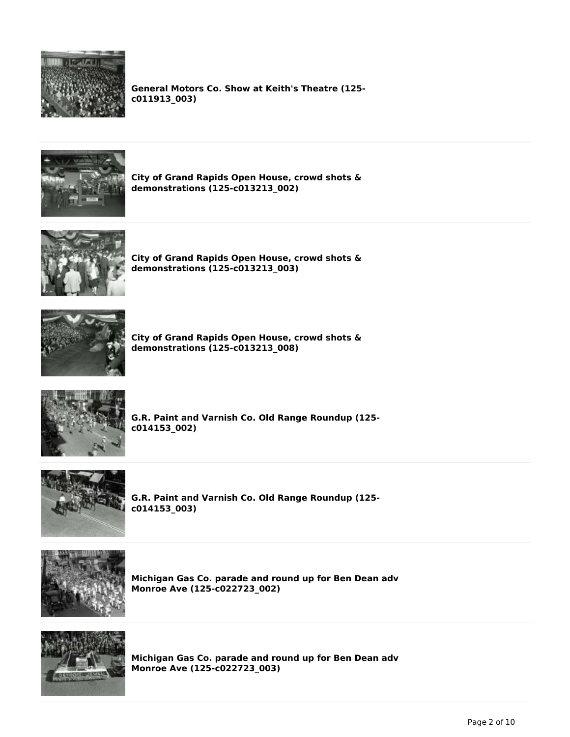

**General Motors Co. Show at Keith's Theatre (125 c011913\_003)**



**City of Grand Rapids Open House, crowd shots & demonstrations (125-c013213\_002)**



**City of Grand Rapids Open House, crowd shots & demonstrations (125-c013213\_003)**



**City of Grand Rapids Open House, crowd shots & demonstrations (125-c013213\_008)**



**G.R. Paint and Varnish Co. Old Range Roundup (125 c014153\_002)**



**G.R. Paint and Varnish Co. Old Range Roundup (125 c014153\_003)**



**Michigan Gas Co. parade and round up for Ben Dean adv Monroe Ave (125-c022723\_002)**



**Michigan Gas Co. parade and round up for Ben Dean adv Monroe Ave (125-c022723\_003)**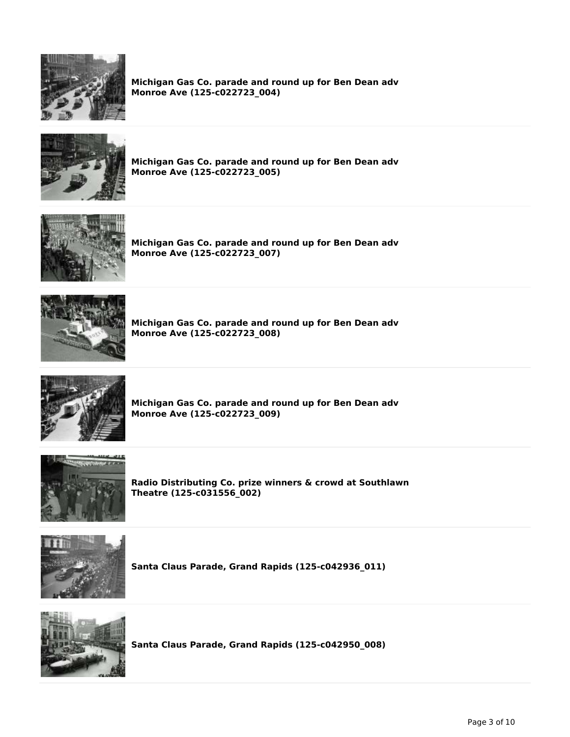

**Michigan Gas Co. parade and round up for Ben Dean adv Monroe Ave (125-c022723\_004)**



**Michigan Gas Co. parade and round up for Ben Dean adv Monroe Ave (125-c022723\_005)**



**Michigan Gas Co. parade and round up for Ben Dean adv Monroe Ave (125-c022723\_007)**



**Michigan Gas Co. parade and round up for Ben Dean adv Monroe Ave (125-c022723\_008)**



**Michigan Gas Co. parade and round up for Ben Dean adv Monroe Ave (125-c022723\_009)**



**Radio Distributing Co. prize winners & crowd at Southlawn Theatre (125-c031556\_002)**



**Santa Claus Parade, Grand Rapids (125-c042936\_011)**



**Santa Claus Parade, Grand Rapids (125-c042950\_008)**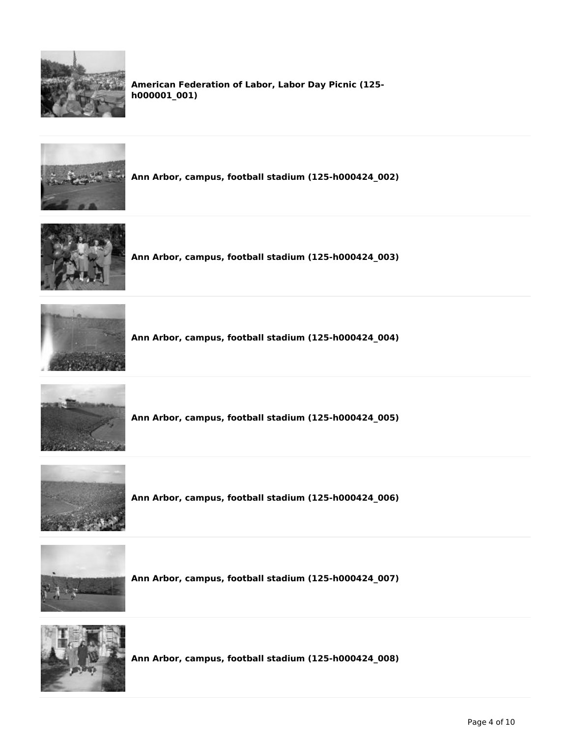

**American Federation of Labor, Labor Day Picnic (125 h000001\_001)**



**Ann Arbor, campus, football stadium (125-h000424\_002)**



**Ann Arbor, campus, football stadium (125-h000424\_003)**



**Ann Arbor, campus, football stadium (125-h000424\_004)**



**Ann Arbor, campus, football stadium (125-h000424\_005)**



**Ann Arbor, campus, football stadium (125-h000424\_006)**



**Ann Arbor, campus, football stadium (125-h000424\_007)**



**Ann Arbor, campus, football stadium (125-h000424\_008)**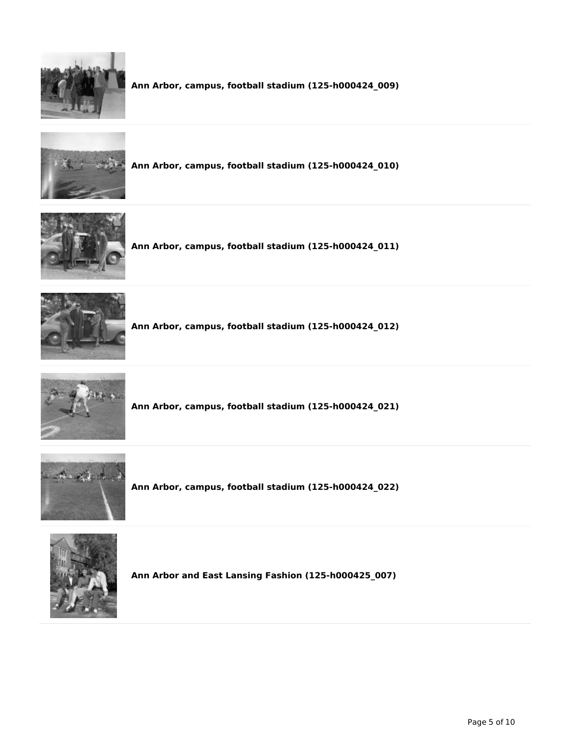

**Ann Arbor, campus, football stadium (125-h000424\_009)**



**Ann Arbor, campus, football stadium (125-h000424\_010)**



**Ann Arbor, campus, football stadium (125-h000424\_011)**



**Ann Arbor, campus, football stadium (125-h000424\_012)**



**Ann Arbor, campus, football stadium (125-h000424\_021)**



**Ann Arbor, campus, football stadium (125-h000424\_022)**



**Ann Arbor and East Lansing Fashion (125-h000425\_007)**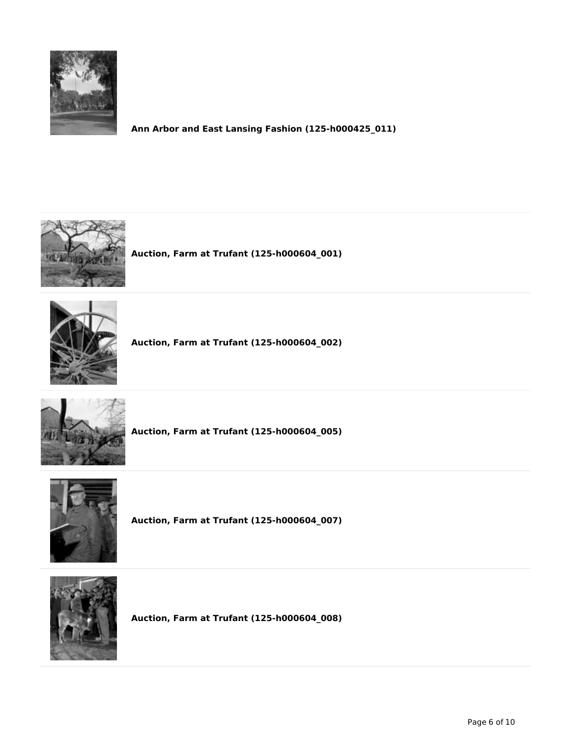

**Ann Arbor and East Lansing Fashion (125-h000425\_011)**



**Auction, Farm at Trufant (125-h000604\_001)**



**Auction, Farm at Trufant (125-h000604\_002)**



**Auction, Farm at Trufant (125-h000604\_005)**



**Auction, Farm at Trufant (125-h000604\_007)**



**Auction, Farm at Trufant (125-h000604\_008)**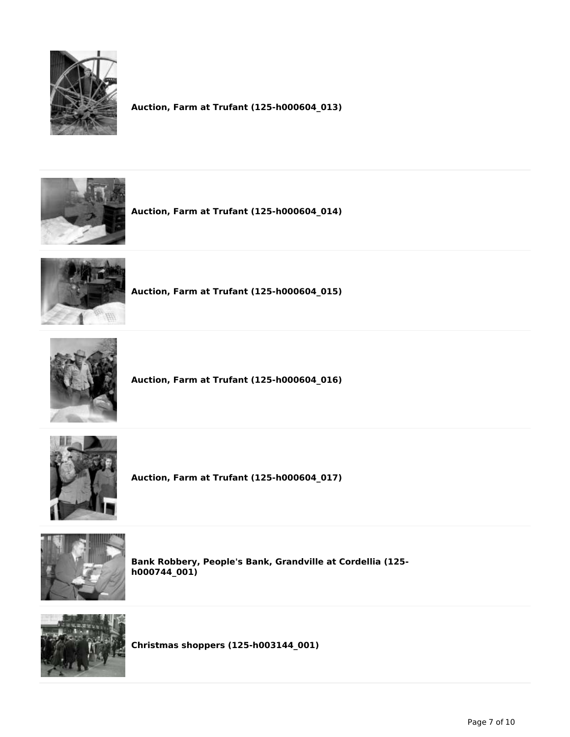

**Auction, Farm at Trufant (125-h000604\_013)**



**Auction, Farm at Trufant (125-h000604\_014)**



**Auction, Farm at Trufant (125-h000604\_015)**



**Auction, Farm at Trufant (125-h000604\_016)**



**Auction, Farm at Trufant (125-h000604\_017)**



**Bank Robbery, People's Bank, Grandville at Cordellia (125 h000744\_001)**



**Christmas shoppers (125-h003144\_001)**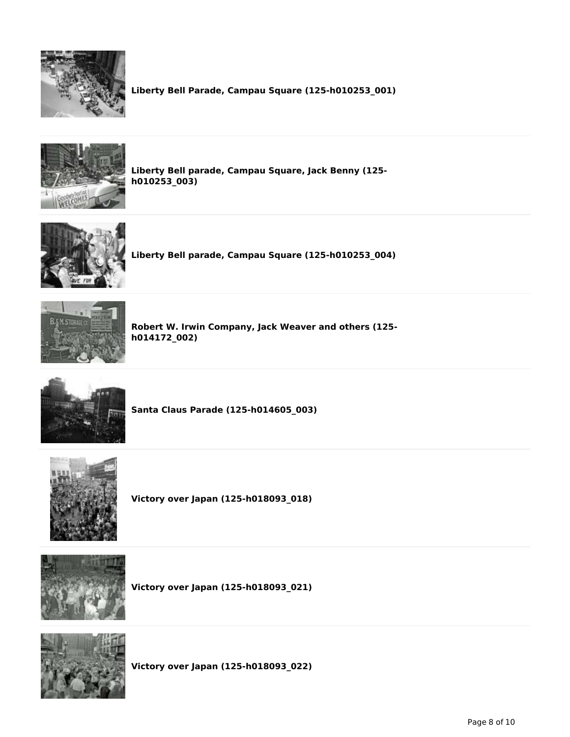

**Liberty Bell Parade, Campau Square (125-h010253\_001)**



**Liberty Bell parade, Campau Square, Jack Benny (125 h010253\_003)**



**Liberty Bell parade, Campau Square (125-h010253\_004)**



**Robert W. Irwin Company, Jack Weaver and others (125 h014172\_002)**



**Santa Claus Parade (125-h014605\_003)**



**Victory over Japan (125-h018093\_018)**



**Victory over Japan (125-h018093\_021)**



**Victory over Japan (125-h018093\_022)**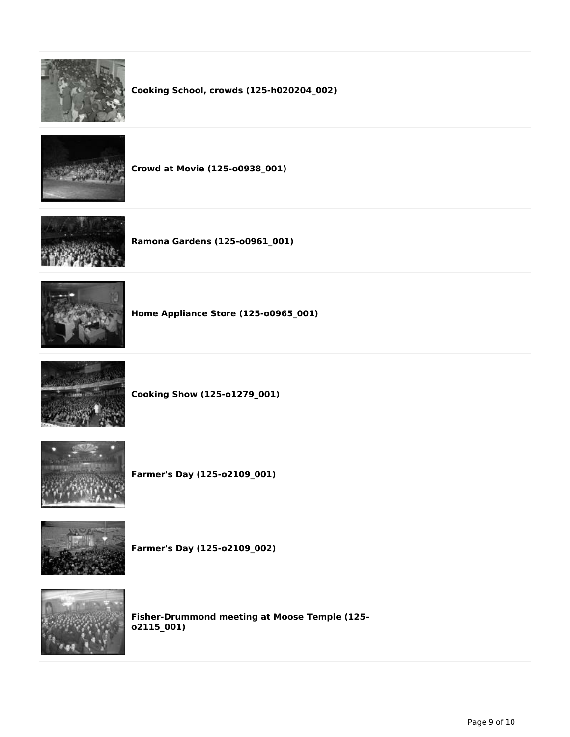

## **Cooking School, crowds (125-h020204\_002)**



**Crowd at Movie (125-o0938\_001)**



**Ramona Gardens (125-o0961\_001)**



**Home Appliance Store (125-o0965\_001)**



**Cooking Show (125-o1279\_001)**



**Farmer's Day (125-o2109\_001)**



**Farmer's Day (125-o2109\_002)**



**Fisher-Drummond meeting at Moose Temple (125 o2115\_001)**